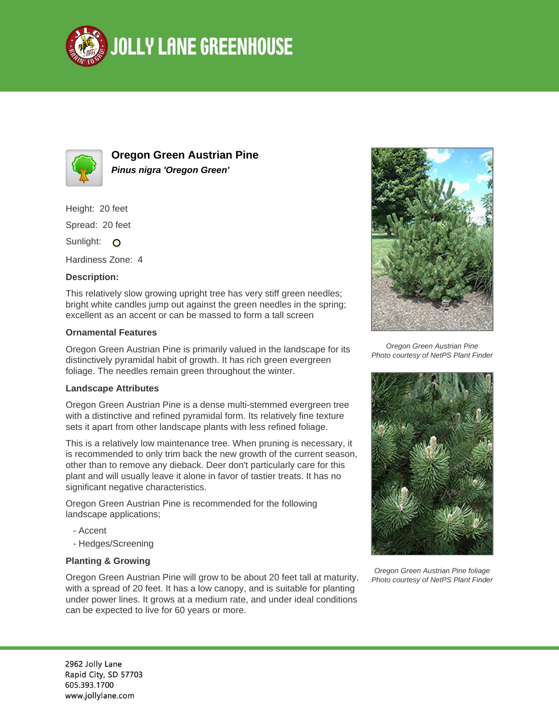



**Oregon Green Austrian Pine Pinus nigra 'Oregon Green'**

Height: 20 feet

Spread: 20 feet

Sunlight: O

Hardiness Zone: 4

## **Description:**

This relatively slow growing upright tree has very stiff green needles; bright white candles jump out against the green needles in the spring; excellent as an accent or can be massed to form a tall screen

## **Ornamental Features**

Oregon Green Austrian Pine is primarily valued in the landscape for its distinctively pyramidal habit of growth. It has rich green evergreen foliage. The needles remain green throughout the winter.

## **Landscape Attributes**

Oregon Green Austrian Pine is a dense multi-stemmed evergreen tree with a distinctive and refined pyramidal form. Its relatively fine texture sets it apart from other landscape plants with less refined foliage.

This is a relatively low maintenance tree. When pruning is necessary, it is recommended to only trim back the new growth of the current season, other than to remove any dieback. Deer don't particularly care for this plant and will usually leave it alone in favor of tastier treats. It has no significant negative characteristics.

Oregon Green Austrian Pine is recommended for the following landscape applications;

- Accent
- Hedges/Screening

## **Planting & Growing**

Oregon Green Austrian Pine will grow to be about 20 feet tall at maturity, with a spread of 20 feet. It has a low canopy, and is suitable for planting under power lines. It grows at a medium rate, and under ideal conditions can be expected to live for 60 years or more.



Oregon Green Austrian Pine Photo courtesy of NetPS Plant Finder



Oregon Green Austrian Pine foliage Photo courtesy of NetPS Plant Finder

2962 Jolly Lane Rapid City, SD 57703 605.393.1700 www.jollylane.com